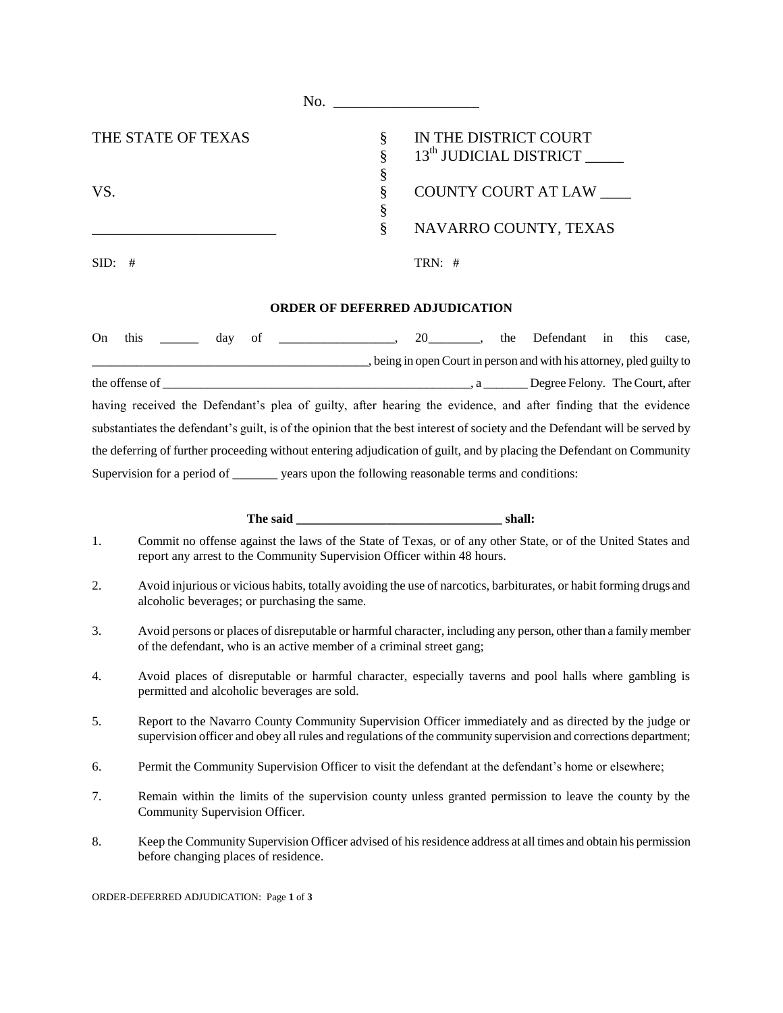|                    | No.     |                                                             |
|--------------------|---------|-------------------------------------------------------------|
| THE STATE OF TEXAS | §       | IN THE DISTRICT COURT<br>13 <sup>th</sup> JUDICIAL DISTRICT |
|                    | \$<br>ş |                                                             |
| VS.                | 8       | <b>COUNTY COURT AT LAW</b>                                  |
|                    | §       | NAVARRO COUNTY, TEXAS                                       |
| SID:<br>#          |         | TRN: $#$                                                    |
|                    |         |                                                             |

## **ORDER OF DEFERRED ADJUDICATION**

| On | this           |  | dav | of |  |                                                                                                 |  | 20 |              |  | the Defendant in this |  | case.                                                                                                                        |  |
|----|----------------|--|-----|----|--|-------------------------------------------------------------------------------------------------|--|----|--------------|--|-----------------------|--|------------------------------------------------------------------------------------------------------------------------------|--|
|    |                |  |     |    |  |                                                                                                 |  |    |              |  |                       |  | , being in open Court in person and with his attorney, pled guilty to                                                        |  |
|    | the offense of |  |     |    |  |                                                                                                 |  |    | $\mathbf{a}$ |  |                       |  | Degree Felony. The Court, after                                                                                              |  |
|    |                |  |     |    |  |                                                                                                 |  |    |              |  |                       |  | having received the Defendant's plea of guilty, after hearing the evidence, and after finding that the evidence              |  |
|    |                |  |     |    |  |                                                                                                 |  |    |              |  |                       |  | substantiates the defendant's guilt, is of the opinion that the best interest of society and the Defendant will be served by |  |
|    |                |  |     |    |  |                                                                                                 |  |    |              |  |                       |  | the deferring of further proceeding without entering adjudication of guilt, and by placing the Defendant on Community        |  |
|    |                |  |     |    |  | Supervision for a period of _________ years upon the following reasonable terms and conditions: |  |    |              |  |                       |  |                                                                                                                              |  |

## **The said \_\_\_\_\_\_\_\_\_\_\_\_\_\_\_\_\_\_\_\_\_\_\_\_\_\_\_\_\_\_\_\_ shall:**

- 1. Commit no offense against the laws of the State of Texas, or of any other State, or of the United States and report any arrest to the Community Supervision Officer within 48 hours.
- 2. Avoid injurious or vicious habits, totally avoiding the use of narcotics, barbiturates, or habit forming drugs and alcoholic beverages; or purchasing the same.
- 3. Avoid persons or places of disreputable or harmful character, including any person, other than a family member of the defendant, who is an active member of a criminal street gang;
- 4. Avoid places of disreputable or harmful character, especially taverns and pool halls where gambling is permitted and alcoholic beverages are sold.
- 5. Report to the Navarro County Community Supervision Officer immediately and as directed by the judge or supervision officer and obey all rules and regulations of the community supervision and corrections department;
- 6. Permit the Community Supervision Officer to visit the defendant at the defendant's home or elsewhere;
- 7. Remain within the limits of the supervision county unless granted permission to leave the county by the Community Supervision Officer.
- 8. Keep the Community Supervision Officer advised of his residence address at all times and obtain his permission before changing places of residence.

ORDER-DEFERRED ADJUDICATION: Page **1** of **3**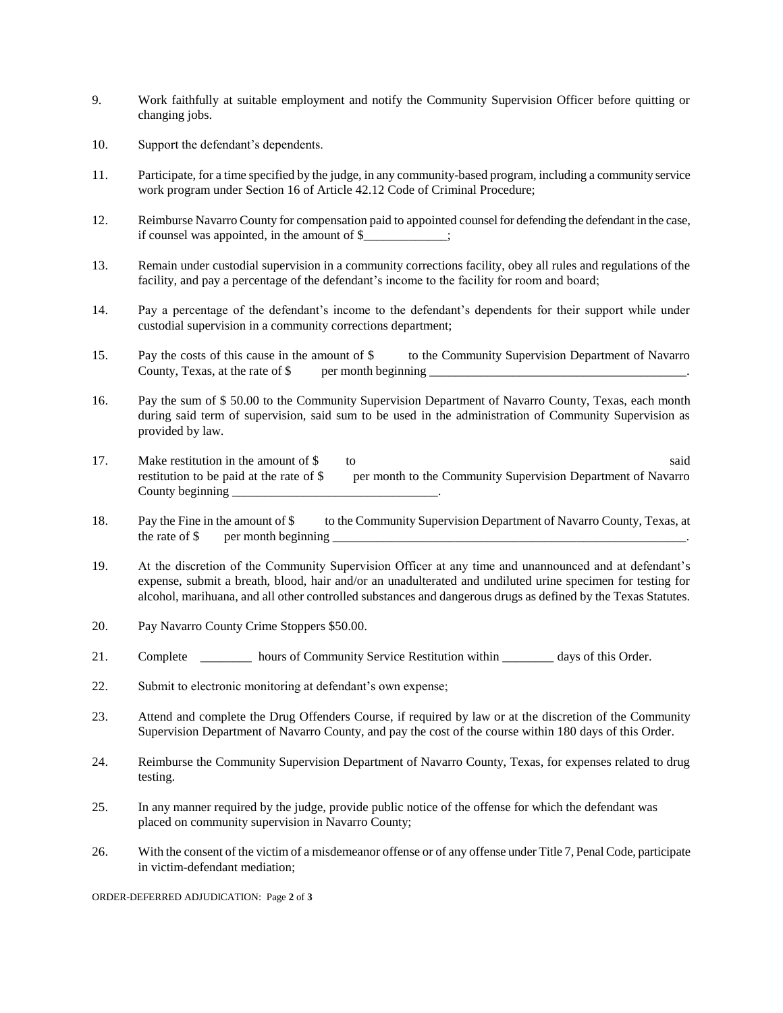- 9. Work faithfully at suitable employment and notify the Community Supervision Officer before quitting or changing jobs.
- 10. Support the defendant's dependents.
- 11. Participate, for a time specified by the judge, in any community-based program, including a community service work program under Section 16 of Article 42.12 Code of Criminal Procedure;
- 12. Reimburse Navarro County for compensation paid to appointed counsel for defending the defendant in the case, if counsel was appointed, in the amount of \$\_\_\_\_\_\_\_\_\_\_\_\_\_;
- 13. Remain under custodial supervision in a community corrections facility, obey all rules and regulations of the facility, and pay a percentage of the defendant's income to the facility for room and board;
- 14. Pay a percentage of the defendant's income to the defendant's dependents for their support while under custodial supervision in a community corrections department;
- 15. Pay the costs of this cause in the amount of \$ to the Community Supervision Department of Navarro County, Texas, at the rate of  $\$\quad$  per month beginning
- 16. Pay the sum of \$ 50.00 to the Community Supervision Department of Navarro County, Texas, each month during said term of supervision, said sum to be used in the administration of Community Supervision as provided by law.
- 17. Make restitution in the amount of \$ to said restitution to be paid at the rate of  $\frac{1}{2}$  per month to the Community Supervision Department of Navarro County beginning \_\_\_\_\_\_\_\_\_\_\_\_\_\_\_\_\_\_\_\_\_\_\_\_\_\_\_\_\_\_\_\_.
- 18. Pay the Fine in the amount of \$ to the Community Supervision Department of Navarro County, Texas, at the rate of  $\$\quad$  per month beginning
- 19. At the discretion of the Community Supervision Officer at any time and unannounced and at defendant's expense, submit a breath, blood, hair and/or an unadulterated and undiluted urine specimen for testing for alcohol, marihuana, and all other controlled substances and dangerous drugs as defined by the Texas Statutes.
- 20. Pay Navarro County Crime Stoppers \$50.00.
- 21. Complete \_\_\_\_\_\_\_\_ hours of Community Service Restitution within \_\_\_\_\_\_\_\_ days of this Order.
- 22. Submit to electronic monitoring at defendant's own expense;
- 23. Attend and complete the Drug Offenders Course, if required by law or at the discretion of the Community Supervision Department of Navarro County, and pay the cost of the course within 180 days of this Order.
- 24. Reimburse the Community Supervision Department of Navarro County, Texas, for expenses related to drug testing.
- 25. In any manner required by the judge, provide public notice of the offense for which the defendant was placed on community supervision in Navarro County;
- 26. With the consent of the victim of a misdemeanor offense or of any offense under Title 7, Penal Code, participate in victim-defendant mediation;

ORDER-DEFERRED ADJUDICATION: Page **2** of **3**